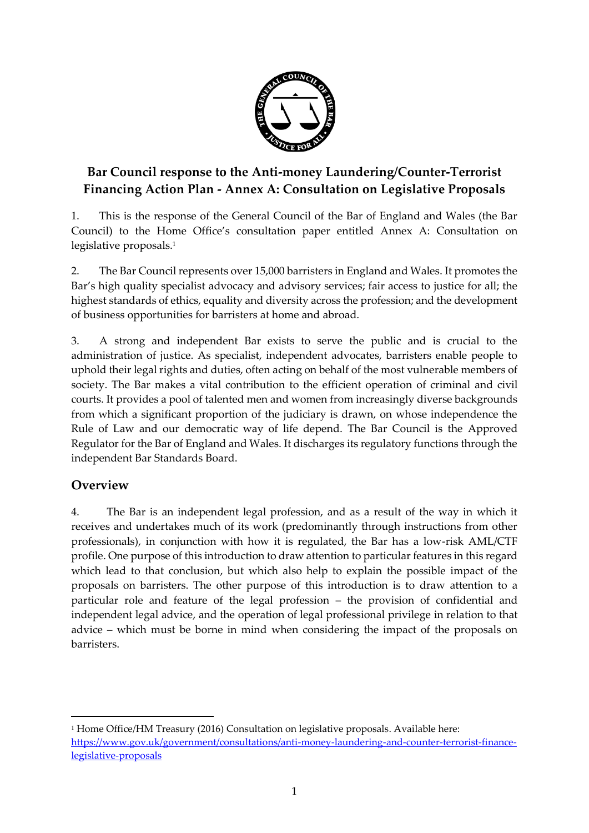

# **Bar Council response to the Anti-money Laundering/Counter-Terrorist Financing Action Plan - Annex A: Consultation on Legislative Proposals**

1. This is the response of the General Council of the Bar of England and Wales (the Bar Council) to the Home Office's consultation paper entitled Annex A: Consultation on legislative proposals. 1

2. The Bar Council represents over 15,000 barristers in England and Wales. It promotes the Bar's high quality specialist advocacy and advisory services; fair access to justice for all; the highest standards of ethics, equality and diversity across the profession; and the development of business opportunities for barristers at home and abroad.

3. A strong and independent Bar exists to serve the public and is crucial to the administration of justice. As specialist, independent advocates, barristers enable people to uphold their legal rights and duties, often acting on behalf of the most vulnerable members of society. The Bar makes a vital contribution to the efficient operation of criminal and civil courts. It provides a pool of talented men and women from increasingly diverse backgrounds from which a significant proportion of the judiciary is drawn, on whose independence the Rule of Law and our democratic way of life depend. The Bar Council is the Approved Regulator for the Bar of England and Wales. It discharges its regulatory functions through the independent Bar Standards Board.

# **Overview**

 $\overline{a}$ 

4. The Bar is an independent legal profession, and as a result of the way in which it receives and undertakes much of its work (predominantly through instructions from other professionals), in conjunction with how it is regulated, the Bar has a low-risk AML/CTF profile. One purpose of this introduction to draw attention to particular features in this regard which lead to that conclusion, but which also help to explain the possible impact of the proposals on barristers. The other purpose of this introduction is to draw attention to a particular role and feature of the legal profession – the provision of confidential and independent legal advice, and the operation of legal professional privilege in relation to that advice – which must be borne in mind when considering the impact of the proposals on barristers.

<sup>1</sup> Home Office/HM Treasury (2016) Consultation on legislative proposals. Available here: [https://www.gov.uk/government/consultations/anti-money-laundering-and-counter-terrorist-finance](https://www.gov.uk/government/consultations/anti-money-laundering-and-counter-terrorist-finance-legislative-proposals)[legislative-proposals](https://www.gov.uk/government/consultations/anti-money-laundering-and-counter-terrorist-finance-legislative-proposals)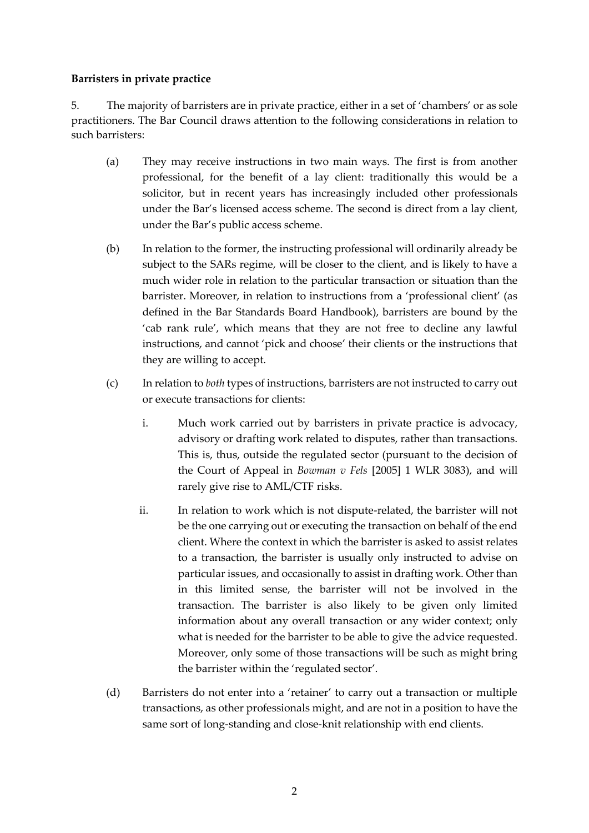#### **Barristers in private practice**

5. The majority of barristers are in private practice, either in a set of 'chambers' or as sole practitioners. The Bar Council draws attention to the following considerations in relation to such barristers:

- (a) They may receive instructions in two main ways. The first is from another professional, for the benefit of a lay client: traditionally this would be a solicitor, but in recent years has increasingly included other professionals under the Bar's licensed access scheme. The second is direct from a lay client, under the Bar's public access scheme.
- (b) In relation to the former, the instructing professional will ordinarily already be subject to the SARs regime, will be closer to the client, and is likely to have a much wider role in relation to the particular transaction or situation than the barrister. Moreover, in relation to instructions from a 'professional client' (as defined in the Bar Standards Board Handbook), barristers are bound by the 'cab rank rule', which means that they are not free to decline any lawful instructions, and cannot 'pick and choose' their clients or the instructions that they are willing to accept.
- (c) In relation to *both* types of instructions, barristers are not instructed to carry out or execute transactions for clients:
	- i. Much work carried out by barristers in private practice is advocacy, advisory or drafting work related to disputes, rather than transactions. This is, thus, outside the regulated sector (pursuant to the decision of the Court of Appeal in *Bowman v Fels* [2005] 1 WLR 3083), and will rarely give rise to AML/CTF risks.
	- ii. In relation to work which is not dispute-related, the barrister will not be the one carrying out or executing the transaction on behalf of the end client. Where the context in which the barrister is asked to assist relates to a transaction, the barrister is usually only instructed to advise on particular issues, and occasionally to assist in drafting work. Other than in this limited sense, the barrister will not be involved in the transaction. The barrister is also likely to be given only limited information about any overall transaction or any wider context; only what is needed for the barrister to be able to give the advice requested. Moreover, only some of those transactions will be such as might bring the barrister within the 'regulated sector'.
- (d) Barristers do not enter into a 'retainer' to carry out a transaction or multiple transactions, as other professionals might, and are not in a position to have the same sort of long-standing and close-knit relationship with end clients.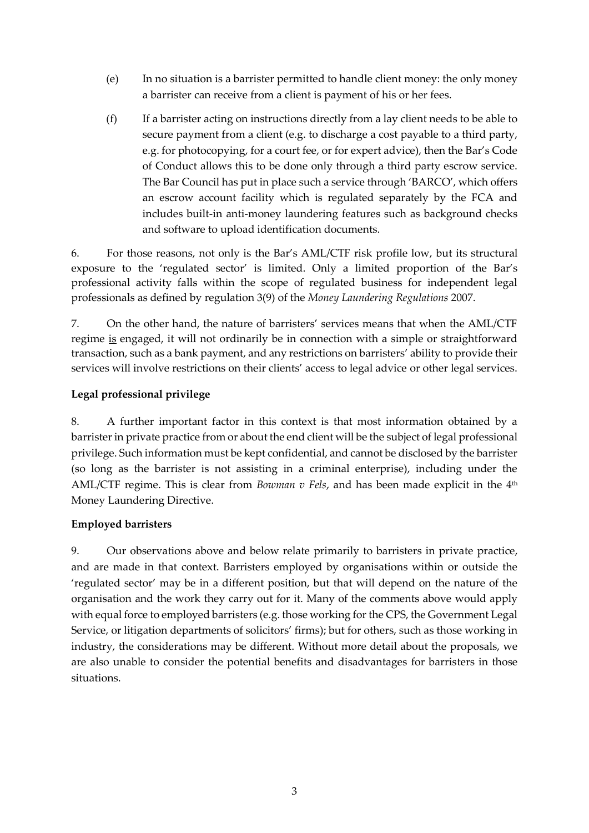- (e) In no situation is a barrister permitted to handle client money: the only money a barrister can receive from a client is payment of his or her fees.
- (f) If a barrister acting on instructions directly from a lay client needs to be able to secure payment from a client (e.g. to discharge a cost payable to a third party, e.g. for photocopying, for a court fee, or for expert advice), then the Bar's Code of Conduct allows this to be done only through a third party escrow service. The Bar Council has put in place such a service through 'BARCO', which offers an escrow account facility which is regulated separately by the FCA and includes built-in anti-money laundering features such as background checks and software to upload identification documents.

6. For those reasons, not only is the Bar's AML/CTF risk profile low, but its structural exposure to the 'regulated sector' is limited. Only a limited proportion of the Bar's professional activity falls within the scope of regulated business for independent legal professionals as defined by regulation 3(9) of the *Money Laundering Regulations* 2007.

7. On the other hand, the nature of barristers' services means that when the AML/CTF regime is engaged, it will not ordinarily be in connection with a simple or straightforward transaction, such as a bank payment, and any restrictions on barristers' ability to provide their services will involve restrictions on their clients' access to legal advice or other legal services.

#### **Legal professional privilege**

8. A further important factor in this context is that most information obtained by a barrister in private practice from or about the end client will be the subject of legal professional privilege. Such information must be kept confidential, and cannot be disclosed by the barrister (so long as the barrister is not assisting in a criminal enterprise), including under the AML/CTF regime. This is clear from *Bowman v Fels*, and has been made explicit in the 4<sup>th</sup> Money Laundering Directive.

#### **Employed barristers**

9. Our observations above and below relate primarily to barristers in private practice, and are made in that context. Barristers employed by organisations within or outside the 'regulated sector' may be in a different position, but that will depend on the nature of the organisation and the work they carry out for it. Many of the comments above would apply with equal force to employed barristers (e.g. those working for the CPS, the Government Legal Service, or litigation departments of solicitors' firms); but for others, such as those working in industry, the considerations may be different. Without more detail about the proposals, we are also unable to consider the potential benefits and disadvantages for barristers in those situations.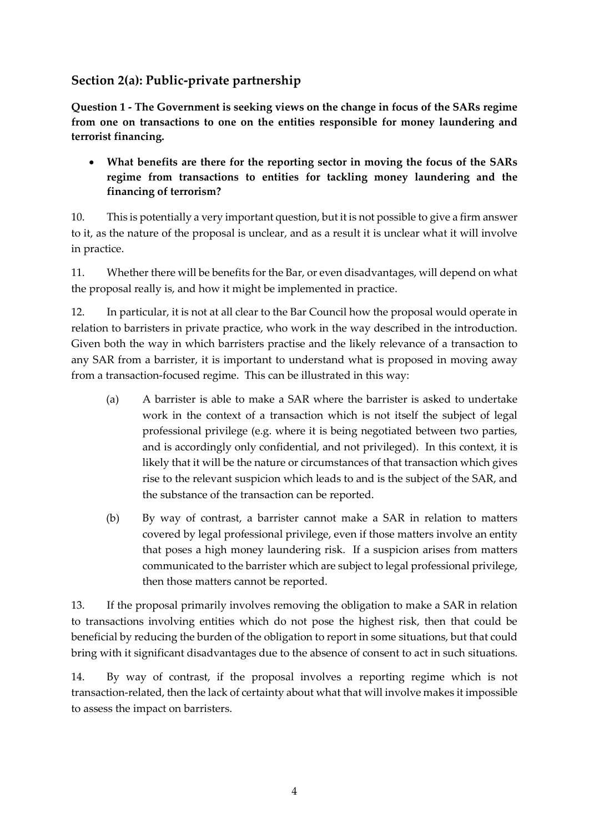# **Section 2(a): Public-private partnership**

**Question 1 - The Government is seeking views on the change in focus of the SARs regime from one on transactions to one on the entities responsible for money laundering and terrorist financing.**

 **What benefits are there for the reporting sector in moving the focus of the SARs regime from transactions to entities for tackling money laundering and the financing of terrorism?**

10. This is potentially a very important question, but it is not possible to give a firm answer to it, as the nature of the proposal is unclear, and as a result it is unclear what it will involve in practice.

11. Whether there will be benefits for the Bar, or even disadvantages, will depend on what the proposal really is, and how it might be implemented in practice.

12. In particular, it is not at all clear to the Bar Council how the proposal would operate in relation to barristers in private practice, who work in the way described in the introduction. Given both the way in which barristers practise and the likely relevance of a transaction to any SAR from a barrister, it is important to understand what is proposed in moving away from a transaction-focused regime. This can be illustrated in this way:

- (a) A barrister is able to make a SAR where the barrister is asked to undertake work in the context of a transaction which is not itself the subject of legal professional privilege (e.g. where it is being negotiated between two parties, and is accordingly only confidential, and not privileged). In this context, it is likely that it will be the nature or circumstances of that transaction which gives rise to the relevant suspicion which leads to and is the subject of the SAR, and the substance of the transaction can be reported.
- (b) By way of contrast, a barrister cannot make a SAR in relation to matters covered by legal professional privilege, even if those matters involve an entity that poses a high money laundering risk. If a suspicion arises from matters communicated to the barrister which are subject to legal professional privilege, then those matters cannot be reported.

13. If the proposal primarily involves removing the obligation to make a SAR in relation to transactions involving entities which do not pose the highest risk, then that could be beneficial by reducing the burden of the obligation to report in some situations, but that could bring with it significant disadvantages due to the absence of consent to act in such situations.

14. By way of contrast, if the proposal involves a reporting regime which is not transaction-related, then the lack of certainty about what that will involve makes it impossible to assess the impact on barristers.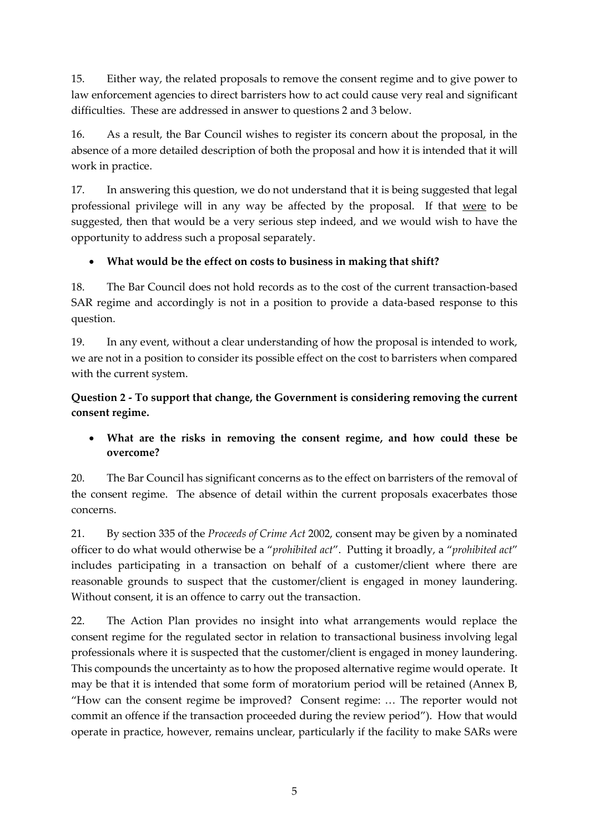15. Either way, the related proposals to remove the consent regime and to give power to law enforcement agencies to direct barristers how to act could cause very real and significant difficulties. These are addressed in answer to questions 2 and 3 below.

16. As a result, the Bar Council wishes to register its concern about the proposal, in the absence of a more detailed description of both the proposal and how it is intended that it will work in practice.

17. In answering this question, we do not understand that it is being suggested that legal professional privilege will in any way be affected by the proposal. If that were to be suggested, then that would be a very serious step indeed, and we would wish to have the opportunity to address such a proposal separately.

### **What would be the effect on costs to business in making that shift?**

18. The Bar Council does not hold records as to the cost of the current transaction-based SAR regime and accordingly is not in a position to provide a data-based response to this question.

19. In any event, without a clear understanding of how the proposal is intended to work, we are not in a position to consider its possible effect on the cost to barristers when compared with the current system.

### **Question 2 - To support that change, the Government is considering removing the current consent regime.**

### **What are the risks in removing the consent regime, and how could these be overcome?**

20. The Bar Council has significant concerns as to the effect on barristers of the removal of the consent regime. The absence of detail within the current proposals exacerbates those concerns.

21. By section 335 of the *Proceeds of Crime Act* 2002, consent may be given by a nominated officer to do what would otherwise be a "*prohibited act*". Putting it broadly, a "*prohibited act*" includes participating in a transaction on behalf of a customer/client where there are reasonable grounds to suspect that the customer/client is engaged in money laundering. Without consent, it is an offence to carry out the transaction.

22. The Action Plan provides no insight into what arrangements would replace the consent regime for the regulated sector in relation to transactional business involving legal professionals where it is suspected that the customer/client is engaged in money laundering. This compounds the uncertainty as to how the proposed alternative regime would operate. It may be that it is intended that some form of moratorium period will be retained (Annex B, "How can the consent regime be improved? Consent regime: … The reporter would not commit an offence if the transaction proceeded during the review period"). How that would operate in practice, however, remains unclear, particularly if the facility to make SARs were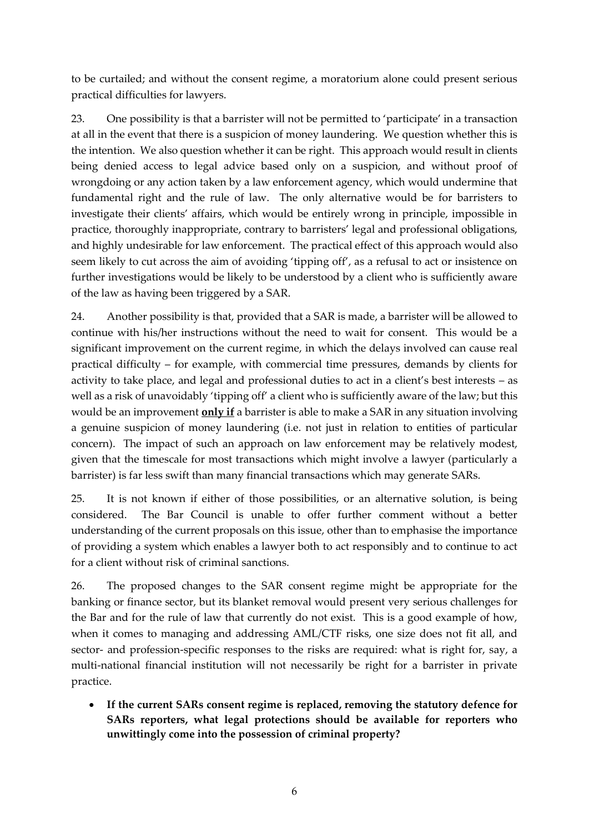to be curtailed; and without the consent regime, a moratorium alone could present serious practical difficulties for lawyers.

23. One possibility is that a barrister will not be permitted to 'participate' in a transaction at all in the event that there is a suspicion of money laundering. We question whether this is the intention. We also question whether it can be right. This approach would result in clients being denied access to legal advice based only on a suspicion, and without proof of wrongdoing or any action taken by a law enforcement agency, which would undermine that fundamental right and the rule of law. The only alternative would be for barristers to investigate their clients' affairs, which would be entirely wrong in principle, impossible in practice, thoroughly inappropriate, contrary to barristers' legal and professional obligations, and highly undesirable for law enforcement. The practical effect of this approach would also seem likely to cut across the aim of avoiding 'tipping off', as a refusal to act or insistence on further investigations would be likely to be understood by a client who is sufficiently aware of the law as having been triggered by a SAR.

24. Another possibility is that, provided that a SAR is made, a barrister will be allowed to continue with his/her instructions without the need to wait for consent. This would be a significant improvement on the current regime, in which the delays involved can cause real practical difficulty – for example, with commercial time pressures, demands by clients for activity to take place, and legal and professional duties to act in a client's best interests – as well as a risk of unavoidably 'tipping off' a client who is sufficiently aware of the law; but this would be an improvement **only if** a barrister is able to make a SAR in any situation involving a genuine suspicion of money laundering (i.e. not just in relation to entities of particular concern). The impact of such an approach on law enforcement may be relatively modest, given that the timescale for most transactions which might involve a lawyer (particularly a barrister) is far less swift than many financial transactions which may generate SARs.

25. It is not known if either of those possibilities, or an alternative solution, is being considered. The Bar Council is unable to offer further comment without a better understanding of the current proposals on this issue, other than to emphasise the importance of providing a system which enables a lawyer both to act responsibly and to continue to act for a client without risk of criminal sanctions.

26. The proposed changes to the SAR consent regime might be appropriate for the banking or finance sector, but its blanket removal would present very serious challenges for the Bar and for the rule of law that currently do not exist. This is a good example of how, when it comes to managing and addressing AML/CTF risks, one size does not fit all, and sector- and profession-specific responses to the risks are required: what is right for, say, a multi-national financial institution will not necessarily be right for a barrister in private practice.

 **If the current SARs consent regime is replaced, removing the statutory defence for SARs reporters, what legal protections should be available for reporters who unwittingly come into the possession of criminal property?**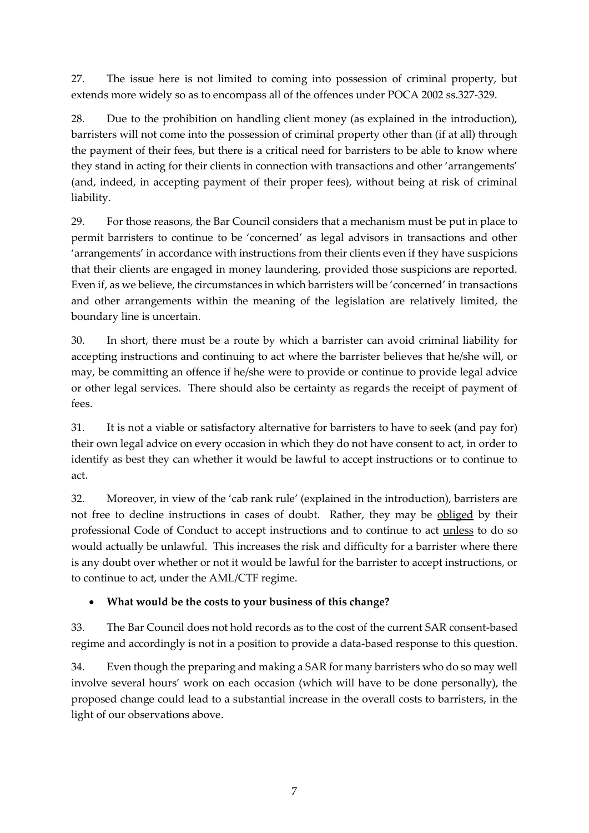27. The issue here is not limited to coming into possession of criminal property, but extends more widely so as to encompass all of the offences under POCA 2002 ss.327-329.

28. Due to the prohibition on handling client money (as explained in the introduction), barristers will not come into the possession of criminal property other than (if at all) through the payment of their fees, but there is a critical need for barristers to be able to know where they stand in acting for their clients in connection with transactions and other 'arrangements' (and, indeed, in accepting payment of their proper fees), without being at risk of criminal liability.

29. For those reasons, the Bar Council considers that a mechanism must be put in place to permit barristers to continue to be 'concerned' as legal advisors in transactions and other 'arrangements' in accordance with instructions from their clients even if they have suspicions that their clients are engaged in money laundering, provided those suspicions are reported. Even if, as we believe, the circumstances in which barristers will be 'concerned' in transactions and other arrangements within the meaning of the legislation are relatively limited, the boundary line is uncertain.

30. In short, there must be a route by which a barrister can avoid criminal liability for accepting instructions and continuing to act where the barrister believes that he/she will, or may, be committing an offence if he/she were to provide or continue to provide legal advice or other legal services. There should also be certainty as regards the receipt of payment of fees.

31. It is not a viable or satisfactory alternative for barristers to have to seek (and pay for) their own legal advice on every occasion in which they do not have consent to act, in order to identify as best they can whether it would be lawful to accept instructions or to continue to act.

32. Moreover, in view of the 'cab rank rule' (explained in the introduction), barristers are not free to decline instructions in cases of doubt. Rather, they may be obliged by their professional Code of Conduct to accept instructions and to continue to act unless to do so would actually be unlawful. This increases the risk and difficulty for a barrister where there is any doubt over whether or not it would be lawful for the barrister to accept instructions, or to continue to act, under the AML/CTF regime.

### **What would be the costs to your business of this change?**

33. The Bar Council does not hold records as to the cost of the current SAR consent-based regime and accordingly is not in a position to provide a data-based response to this question.

34. Even though the preparing and making a SAR for many barristers who do so may well involve several hours' work on each occasion (which will have to be done personally), the proposed change could lead to a substantial increase in the overall costs to barristers, in the light of our observations above.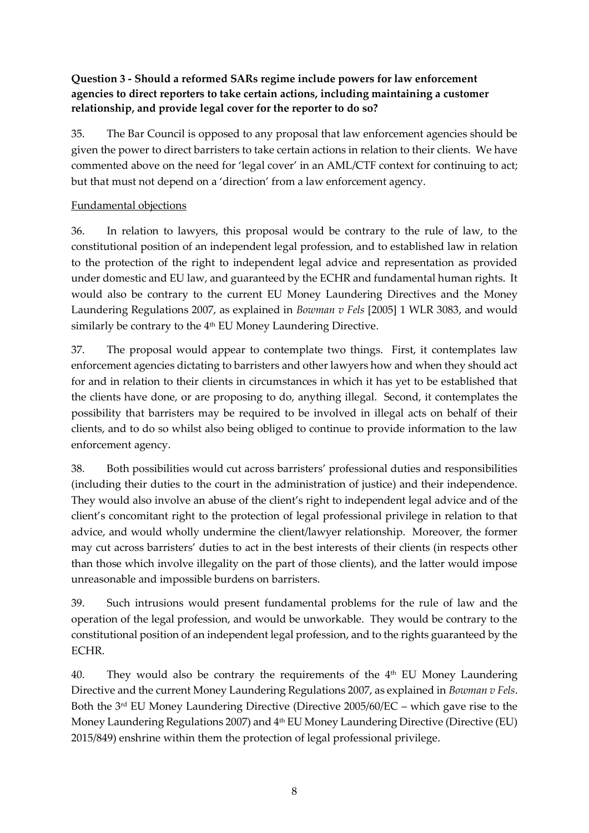### **Question 3 - Should a reformed SARs regime include powers for law enforcement agencies to direct reporters to take certain actions, including maintaining a customer relationship, and provide legal cover for the reporter to do so?**

35. The Bar Council is opposed to any proposal that law enforcement agencies should be given the power to direct barristers to take certain actions in relation to their clients. We have commented above on the need for 'legal cover' in an AML/CTF context for continuing to act; but that must not depend on a 'direction' from a law enforcement agency.

#### Fundamental objections

36. In relation to lawyers, this proposal would be contrary to the rule of law, to the constitutional position of an independent legal profession, and to established law in relation to the protection of the right to independent legal advice and representation as provided under domestic and EU law, and guaranteed by the ECHR and fundamental human rights. It would also be contrary to the current EU Money Laundering Directives and the Money Laundering Regulations 2007, as explained in *Bowman v Fels* [2005] 1 WLR 3083, and would similarly be contrary to the 4<sup>th</sup> EU Money Laundering Directive.

37. The proposal would appear to contemplate two things. First, it contemplates law enforcement agencies dictating to barristers and other lawyers how and when they should act for and in relation to their clients in circumstances in which it has yet to be established that the clients have done, or are proposing to do, anything illegal. Second, it contemplates the possibility that barristers may be required to be involved in illegal acts on behalf of their clients, and to do so whilst also being obliged to continue to provide information to the law enforcement agency.

38. Both possibilities would cut across barristers' professional duties and responsibilities (including their duties to the court in the administration of justice) and their independence. They would also involve an abuse of the client's right to independent legal advice and of the client's concomitant right to the protection of legal professional privilege in relation to that advice, and would wholly undermine the client/lawyer relationship. Moreover, the former may cut across barristers' duties to act in the best interests of their clients (in respects other than those which involve illegality on the part of those clients), and the latter would impose unreasonable and impossible burdens on barristers.

39. Such intrusions would present fundamental problems for the rule of law and the operation of the legal profession, and would be unworkable. They would be contrary to the constitutional position of an independent legal profession, and to the rights guaranteed by the ECHR.

40. They would also be contrary the requirements of the  $4<sup>th</sup>$  EU Money Laundering Directive and the current Money Laundering Regulations 2007, as explained in *Bowman v Fels*. Both the 3rd EU Money Laundering Directive (Directive 2005/60/EC – which gave rise to the Money Laundering Regulations 2007) and 4<sup>th</sup> EU Money Laundering Directive (Directive (EU) 2015/849) enshrine within them the protection of legal professional privilege.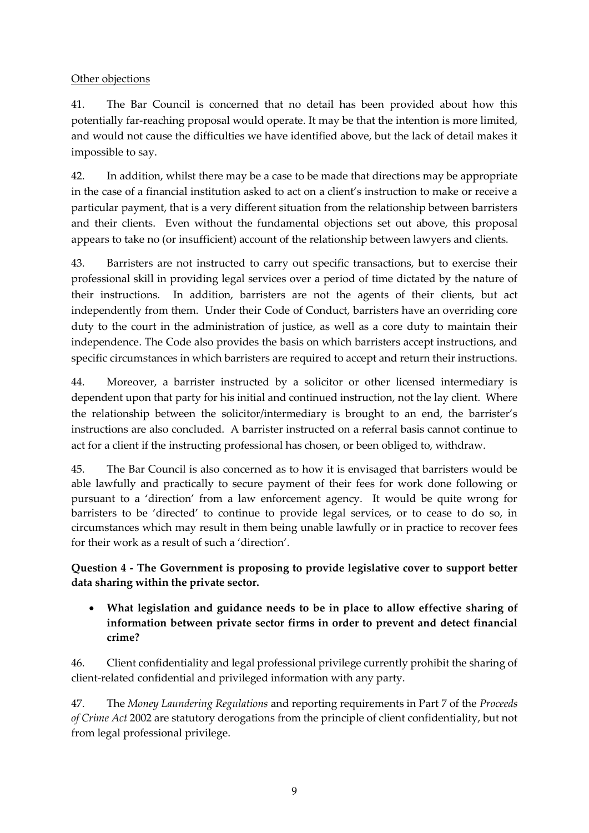#### Other objections

41. The Bar Council is concerned that no detail has been provided about how this potentially far-reaching proposal would operate. It may be that the intention is more limited, and would not cause the difficulties we have identified above, but the lack of detail makes it impossible to say.

42. In addition, whilst there may be a case to be made that directions may be appropriate in the case of a financial institution asked to act on a client's instruction to make or receive a particular payment, that is a very different situation from the relationship between barristers and their clients. Even without the fundamental objections set out above, this proposal appears to take no (or insufficient) account of the relationship between lawyers and clients.

43. Barristers are not instructed to carry out specific transactions, but to exercise their professional skill in providing legal services over a period of time dictated by the nature of their instructions. In addition, barristers are not the agents of their clients, but act independently from them. Under their Code of Conduct, barristers have an overriding core duty to the court in the administration of justice, as well as a core duty to maintain their independence. The Code also provides the basis on which barristers accept instructions, and specific circumstances in which barristers are required to accept and return their instructions.

44. Moreover, a barrister instructed by a solicitor or other licensed intermediary is dependent upon that party for his initial and continued instruction, not the lay client. Where the relationship between the solicitor/intermediary is brought to an end, the barrister's instructions are also concluded. A barrister instructed on a referral basis cannot continue to act for a client if the instructing professional has chosen, or been obliged to, withdraw.

45. The Bar Council is also concerned as to how it is envisaged that barristers would be able lawfully and practically to secure payment of their fees for work done following or pursuant to a 'direction' from a law enforcement agency. It would be quite wrong for barristers to be 'directed' to continue to provide legal services, or to cease to do so, in circumstances which may result in them being unable lawfully or in practice to recover fees for their work as a result of such a 'direction'.

#### **Question 4 - The Government is proposing to provide legislative cover to support better data sharing within the private sector.**

 **What legislation and guidance needs to be in place to allow effective sharing of information between private sector firms in order to prevent and detect financial crime?**

46. Client confidentiality and legal professional privilege currently prohibit the sharing of client-related confidential and privileged information with any party.

47. The *Money Laundering Regulations* and reporting requirements in Part 7 of the *Proceeds of Crime Act* 2002 are statutory derogations from the principle of client confidentiality, but not from legal professional privilege.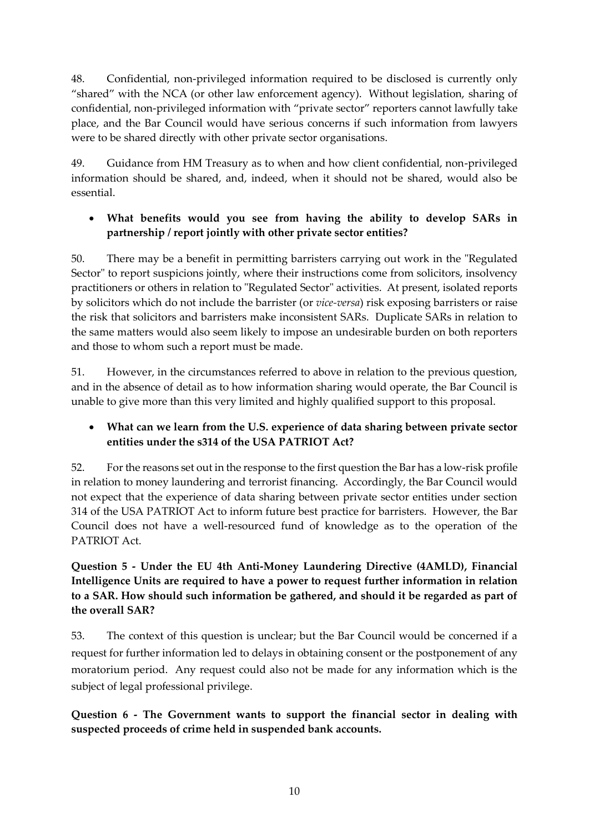48. Confidential, non-privileged information required to be disclosed is currently only "shared" with the NCA (or other law enforcement agency). Without legislation, sharing of confidential, non-privileged information with "private sector" reporters cannot lawfully take place, and the Bar Council would have serious concerns if such information from lawyers were to be shared directly with other private sector organisations.

49. Guidance from HM Treasury as to when and how client confidential, non-privileged information should be shared, and, indeed, when it should not be shared, would also be essential.

### **What benefits would you see from having the ability to develop SARs in partnership / report jointly with other private sector entities?**

50. There may be a benefit in permitting barristers carrying out work in the "Regulated Sector" to report suspicions jointly, where their instructions come from solicitors, insolvency practitioners or others in relation to "Regulated Sector" activities. At present, isolated reports by solicitors which do not include the barrister (or *vice-versa*) risk exposing barristers or raise the risk that solicitors and barristers make inconsistent SARs. Duplicate SARs in relation to the same matters would also seem likely to impose an undesirable burden on both reporters and those to whom such a report must be made.

51. However, in the circumstances referred to above in relation to the previous question, and in the absence of detail as to how information sharing would operate, the Bar Council is unable to give more than this very limited and highly qualified support to this proposal.

### **What can we learn from the U.S. experience of data sharing between private sector entities under the s314 of the USA PATRIOT Act?**

52. For the reasons set out in the response to the first question the Bar has a low-risk profile in relation to money laundering and terrorist financing. Accordingly, the Bar Council would not expect that the experience of data sharing between private sector entities under section 314 of the USA PATRIOT Act to inform future best practice for barristers. However, the Bar Council does not have a well-resourced fund of knowledge as to the operation of the PATRIOT Act.

### **Question 5 - Under the EU 4th Anti-Money Laundering Directive (4AMLD), Financial Intelligence Units are required to have a power to request further information in relation to a SAR. How should such information be gathered, and should it be regarded as part of the overall SAR?**

53. The context of this question is unclear; but the Bar Council would be concerned if a request for further information led to delays in obtaining consent or the postponement of any moratorium period. Any request could also not be made for any information which is the subject of legal professional privilege.

**Question 6 - The Government wants to support the financial sector in dealing with suspected proceeds of crime held in suspended bank accounts.**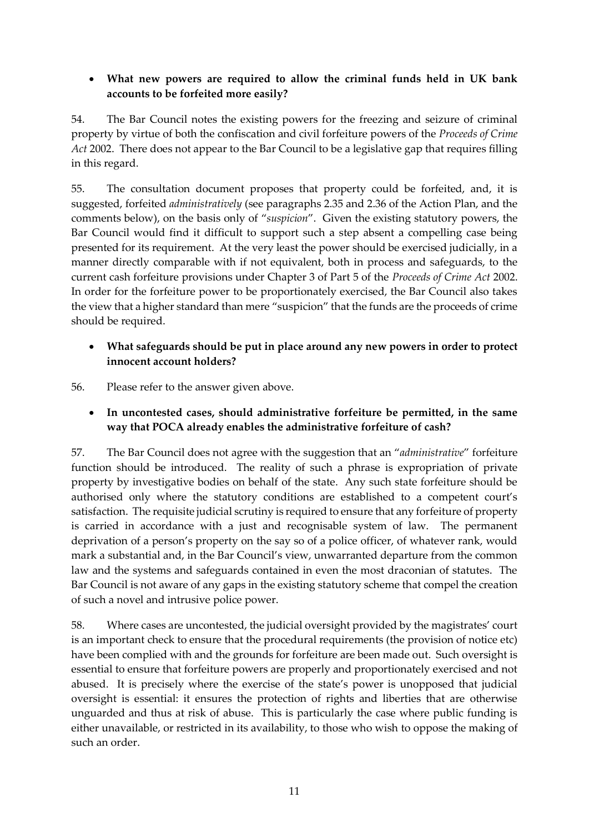### **What new powers are required to allow the criminal funds held in UK bank accounts to be forfeited more easily?**

54. The Bar Council notes the existing powers for the freezing and seizure of criminal property by virtue of both the confiscation and civil forfeiture powers of the *Proceeds of Crime Act* 2002. There does not appear to the Bar Council to be a legislative gap that requires filling in this regard.

55. The consultation document proposes that property could be forfeited, and, it is suggested, forfeited *administratively* (see paragraphs 2.35 and 2.36 of the Action Plan, and the comments below), on the basis only of "*suspicion*". Given the existing statutory powers, the Bar Council would find it difficult to support such a step absent a compelling case being presented for its requirement. At the very least the power should be exercised judicially, in a manner directly comparable with if not equivalent, both in process and safeguards, to the current cash forfeiture provisions under Chapter 3 of Part 5 of the *Proceeds of Crime Act* 2002. In order for the forfeiture power to be proportionately exercised, the Bar Council also takes the view that a higher standard than mere "suspicion" that the funds are the proceeds of crime should be required.

### **What safeguards should be put in place around any new powers in order to protect innocent account holders?**

56. Please refer to the answer given above.

 **In uncontested cases, should administrative forfeiture be permitted, in the same way that POCA already enables the administrative forfeiture of cash?**

57. The Bar Council does not agree with the suggestion that an "*administrative*" forfeiture function should be introduced. The reality of such a phrase is expropriation of private property by investigative bodies on behalf of the state. Any such state forfeiture should be authorised only where the statutory conditions are established to a competent court's satisfaction. The requisite judicial scrutiny is required to ensure that any forfeiture of property is carried in accordance with a just and recognisable system of law. The permanent deprivation of a person's property on the say so of a police officer, of whatever rank, would mark a substantial and, in the Bar Council's view, unwarranted departure from the common law and the systems and safeguards contained in even the most draconian of statutes. The Bar Council is not aware of any gaps in the existing statutory scheme that compel the creation of such a novel and intrusive police power.

58. Where cases are uncontested, the judicial oversight provided by the magistrates' court is an important check to ensure that the procedural requirements (the provision of notice etc) have been complied with and the grounds for forfeiture are been made out. Such oversight is essential to ensure that forfeiture powers are properly and proportionately exercised and not abused. It is precisely where the exercise of the state's power is unopposed that judicial oversight is essential: it ensures the protection of rights and liberties that are otherwise unguarded and thus at risk of abuse. This is particularly the case where public funding is either unavailable, or restricted in its availability, to those who wish to oppose the making of such an order.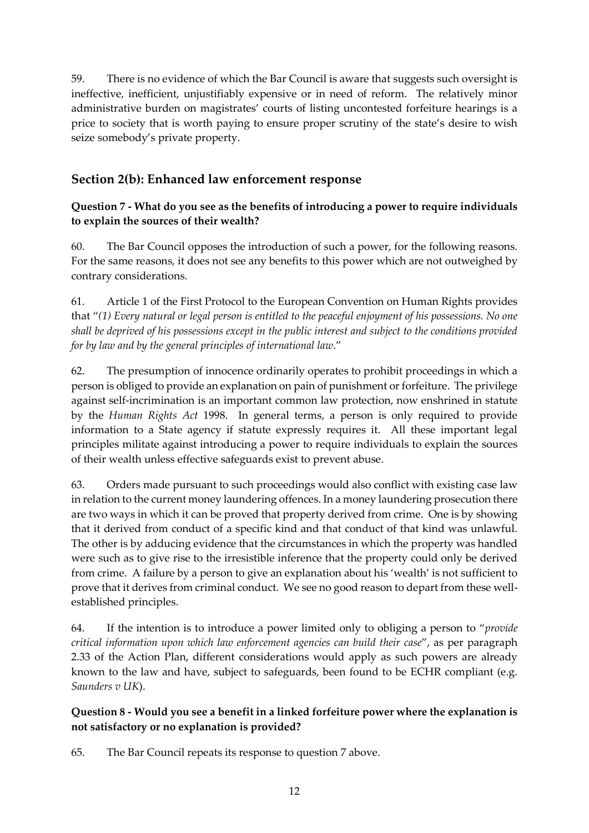59. There is no evidence of which the Bar Council is aware that suggests such oversight is ineffective, inefficient, unjustifiably expensive or in need of reform. The relatively minor administrative burden on magistrates' courts of listing uncontested forfeiture hearings is a price to society that is worth paying to ensure proper scrutiny of the state's desire to wish seize somebody's private property.

# **Section 2(b): Enhanced law enforcement response**

### **Question 7 - What do you see as the benefits of introducing a power to require individuals to explain the sources of their wealth?**

60. The Bar Council opposes the introduction of such a power, for the following reasons. For the same reasons, it does not see any benefits to this power which are not outweighed by contrary considerations.

61. Article 1 of the First Protocol to the European Convention on Human Rights provides that "*(1) Every natural or legal person is entitled to the peaceful enjoyment of his possessions. No one shall be deprived of his possessions except in the public interest and subject to the conditions provided for by law and by the general principles of international law*."

62. The presumption of innocence ordinarily operates to prohibit proceedings in which a person is obliged to provide an explanation on pain of punishment or forfeiture. The privilege against self-incrimination is an important common law protection, now enshrined in statute by the *Human Rights Act* 1998. In general terms, a person is only required to provide information to a State agency if statute expressly requires it. All these important legal principles militate against introducing a power to require individuals to explain the sources of their wealth unless effective safeguards exist to prevent abuse.

63. Orders made pursuant to such proceedings would also conflict with existing case law in relation to the current money laundering offences. In a money laundering prosecution there are two ways in which it can be proved that property derived from crime. One is by showing that it derived from conduct of a specific kind and that conduct of that kind was unlawful. The other is by adducing evidence that the circumstances in which the property was handled were such as to give rise to the irresistible inference that the property could only be derived from crime. A failure by a person to give an explanation about his 'wealth' is not sufficient to prove that it derives from criminal conduct. We see no good reason to depart from these wellestablished principles.

64. If the intention is to introduce a power limited only to obliging a person to "*provide critical information upon which law enforcement agencies can build their case*", as per paragraph 2.33 of the Action Plan, different considerations would apply as such powers are already known to the law and have, subject to safeguards, been found to be ECHR compliant (e.g. *Saunders v UK*).

### **Question 8 - Would you see a benefit in a linked forfeiture power where the explanation is not satisfactory or no explanation is provided?**

65. The Bar Council repeats its response to question 7 above.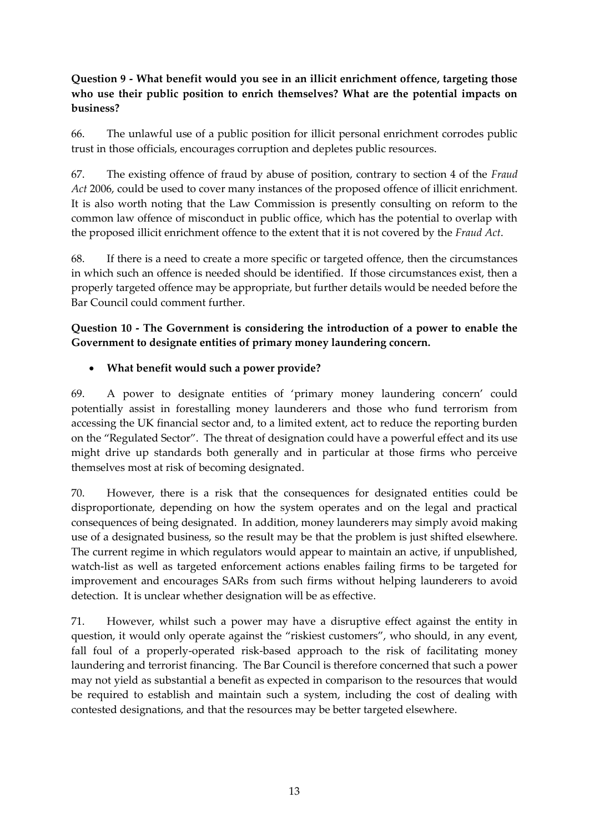### **Question 9 - What benefit would you see in an illicit enrichment offence, targeting those who use their public position to enrich themselves? What are the potential impacts on business?**

66. The unlawful use of a public position for illicit personal enrichment corrodes public trust in those officials, encourages corruption and depletes public resources.

67. The existing offence of fraud by abuse of position, contrary to section 4 of the *Fraud Act* 2006, could be used to cover many instances of the proposed offence of illicit enrichment. It is also worth noting that the Law Commission is presently consulting on reform to the common law offence of misconduct in public office, which has the potential to overlap with the proposed illicit enrichment offence to the extent that it is not covered by the *Fraud Act*.

68. If there is a need to create a more specific or targeted offence, then the circumstances in which such an offence is needed should be identified. If those circumstances exist, then a properly targeted offence may be appropriate, but further details would be needed before the Bar Council could comment further.

### **Question 10 - The Government is considering the introduction of a power to enable the Government to designate entities of primary money laundering concern.**

#### **What benefit would such a power provide?**

69. A power to designate entities of 'primary money laundering concern' could potentially assist in forestalling money launderers and those who fund terrorism from accessing the UK financial sector and, to a limited extent, act to reduce the reporting burden on the "Regulated Sector". The threat of designation could have a powerful effect and its use might drive up standards both generally and in particular at those firms who perceive themselves most at risk of becoming designated.

70. However, there is a risk that the consequences for designated entities could be disproportionate, depending on how the system operates and on the legal and practical consequences of being designated. In addition, money launderers may simply avoid making use of a designated business, so the result may be that the problem is just shifted elsewhere. The current regime in which regulators would appear to maintain an active, if unpublished, watch-list as well as targeted enforcement actions enables failing firms to be targeted for improvement and encourages SARs from such firms without helping launderers to avoid detection. It is unclear whether designation will be as effective.

71. However, whilst such a power may have a disruptive effect against the entity in question, it would only operate against the "riskiest customers", who should, in any event, fall foul of a properly-operated risk-based approach to the risk of facilitating money laundering and terrorist financing. The Bar Council is therefore concerned that such a power may not yield as substantial a benefit as expected in comparison to the resources that would be required to establish and maintain such a system, including the cost of dealing with contested designations, and that the resources may be better targeted elsewhere.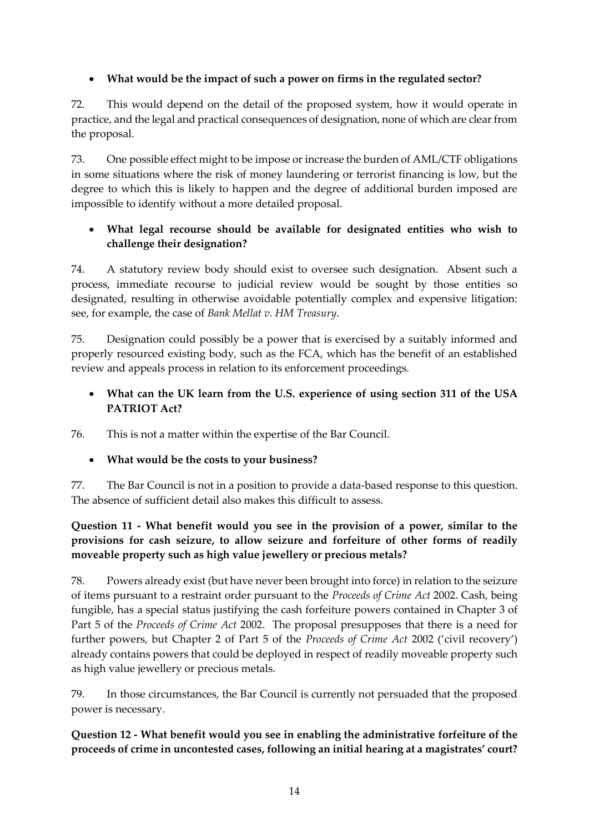### **What would be the impact of such a power on firms in the regulated sector?**

72. This would depend on the detail of the proposed system, how it would operate in practice, and the legal and practical consequences of designation, none of which are clear from the proposal.

73. One possible effect might to be impose or increase the burden of AML/CTF obligations in some situations where the risk of money laundering or terrorist financing is low, but the degree to which this is likely to happen and the degree of additional burden imposed are impossible to identify without a more detailed proposal.

### **What legal recourse should be available for designated entities who wish to challenge their designation?**

74. A statutory review body should exist to oversee such designation. Absent such a process, immediate recourse to judicial review would be sought by those entities so designated, resulting in otherwise avoidable potentially complex and expensive litigation: see, for example, the case of *Bank Mellat v. HM Treasury*.

75. Designation could possibly be a power that is exercised by a suitably informed and properly resourced existing body, such as the FCA, which has the benefit of an established review and appeals process in relation to its enforcement proceedings.

### **What can the UK learn from the U.S. experience of using section 311 of the USA PATRIOT Act?**

76. This is not a matter within the expertise of the Bar Council.

### **What would be the costs to your business?**

77. The Bar Council is not in a position to provide a data-based response to this question. The absence of sufficient detail also makes this difficult to assess.

### **Question 11 - What benefit would you see in the provision of a power, similar to the provisions for cash seizure, to allow seizure and forfeiture of other forms of readily moveable property such as high value jewellery or precious metals?**

78. Powers already exist (but have never been brought into force) in relation to the seizure of items pursuant to a restraint order pursuant to the *Proceeds of Crime Act* 2002. Cash, being fungible, has a special status justifying the cash forfeiture powers contained in Chapter 3 of Part 5 of the *Proceeds of Crime Act* 2002. The proposal presupposes that there is a need for further powers, but Chapter 2 of Part 5 of the *Proceeds of Crime Act* 2002 ('civil recovery') already contains powers that could be deployed in respect of readily moveable property such as high value jewellery or precious metals.

79. In those circumstances, the Bar Council is currently not persuaded that the proposed power is necessary.

### **Question 12 - What benefit would you see in enabling the administrative forfeiture of the proceeds of crime in uncontested cases, following an initial hearing at a magistrates' court?**